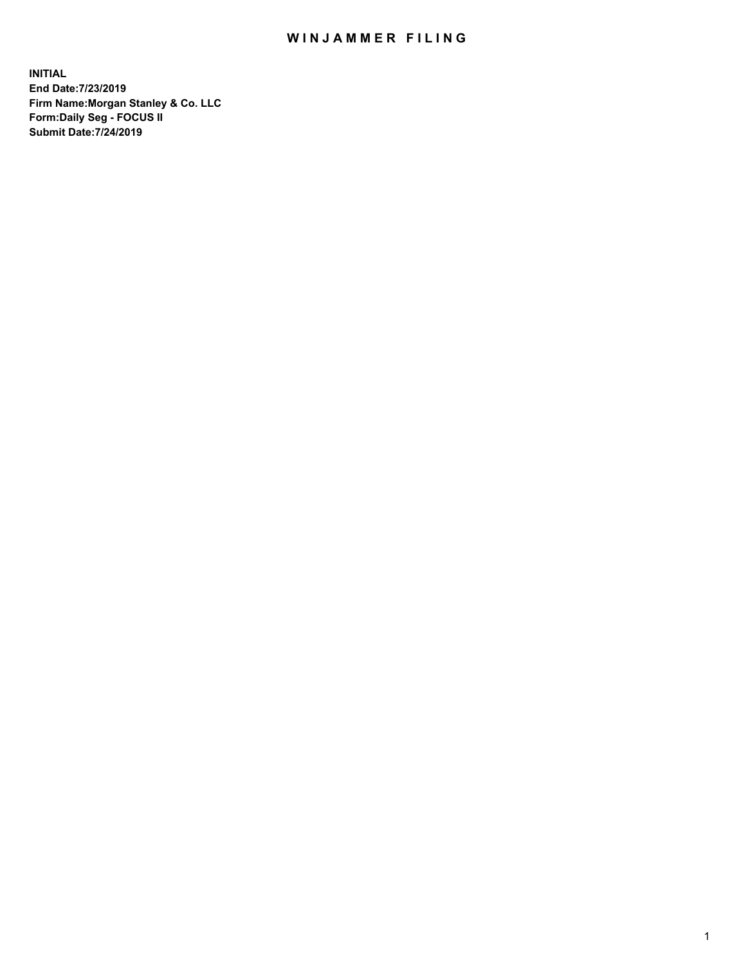## WIN JAMMER FILING

**INITIAL End Date:7/23/2019 Firm Name:Morgan Stanley & Co. LLC Form:Daily Seg - FOCUS II Submit Date:7/24/2019**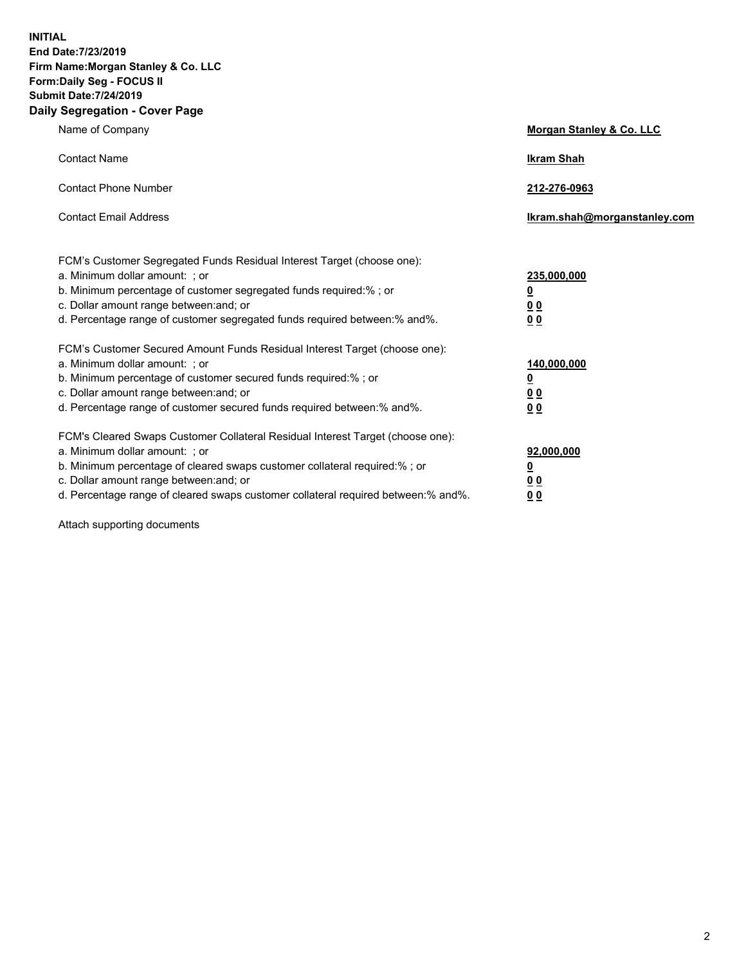**INITIAL End Date:7/23/2019 Firm Name:Morgan Stanley & Co. LLC Form:Daily Seg - FOCUS II Submit Date:7/24/2019 Daily Segregation - Cover Page**

| Name of Company                                                                                                                                                                                                                                                                                                                | Morgan Stanley & Co. LLC                                    |
|--------------------------------------------------------------------------------------------------------------------------------------------------------------------------------------------------------------------------------------------------------------------------------------------------------------------------------|-------------------------------------------------------------|
| <b>Contact Name</b>                                                                                                                                                                                                                                                                                                            | <b>Ikram Shah</b>                                           |
| <b>Contact Phone Number</b>                                                                                                                                                                                                                                                                                                    | 212-276-0963                                                |
| <b>Contact Email Address</b>                                                                                                                                                                                                                                                                                                   | Ikram.shah@morganstanley.com                                |
| FCM's Customer Segregated Funds Residual Interest Target (choose one):<br>a. Minimum dollar amount: ; or<br>b. Minimum percentage of customer segregated funds required:% ; or<br>c. Dollar amount range between: and; or<br>d. Percentage range of customer segregated funds required between:% and%.                         | 235,000,000<br><u>0</u><br>0 <sub>0</sub><br>0 <sub>0</sub> |
| FCM's Customer Secured Amount Funds Residual Interest Target (choose one):<br>a. Minimum dollar amount: ; or<br>b. Minimum percentage of customer secured funds required:%; or<br>c. Dollar amount range between: and; or<br>d. Percentage range of customer secured funds required between:% and%.                            | 140,000,000<br><u>0</u><br><u>00</u><br>0 <sub>0</sub>      |
| FCM's Cleared Swaps Customer Collateral Residual Interest Target (choose one):<br>a. Minimum dollar amount: ; or<br>b. Minimum percentage of cleared swaps customer collateral required:% ; or<br>c. Dollar amount range between: and; or<br>d. Percentage range of cleared swaps customer collateral required between:% and%. | 92,000,000<br><u>0</u><br><u>00</u><br>0 <sub>0</sub>       |

Attach supporting documents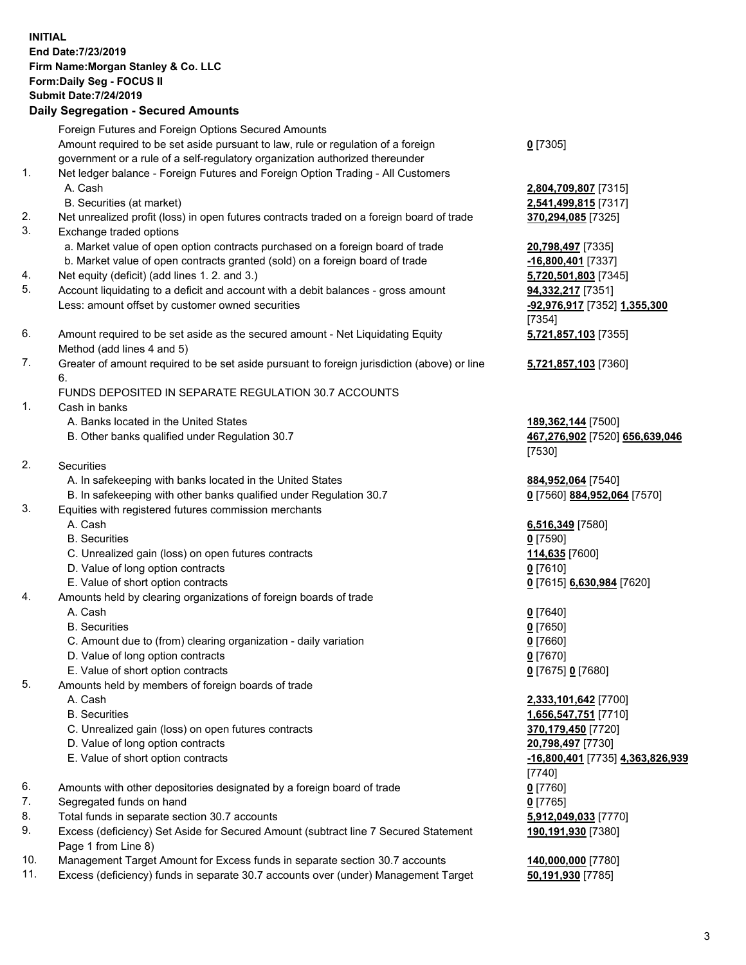## **INITIAL End Date:7/23/2019 Firm Name:Morgan Stanley & Co. LLC Form:Daily Seg - FOCUS II Submit Date:7/24/2019 Daily Segregation - Secured Amounts** Foreign Futures and Foreign Options Secured Amounts Amount required to be set aside pursuant to law, rule or regulation of a foreign government or a rule of a self-regulatory organization authorized thereunder 1. Net ledger balance - Foreign Futures and Foreign Option Trading - All Customers A. Cash **2,804,709,807** [7315] B. Securities (at market) **2,541,499,815** [7317] 2. Net unrealized profit (loss) in open futures contracts traded on a foreign board of trade **370,294,085** [7325] 3. Exchange traded options a. Market value of open option contracts purchased on a foreign board of trade **20,798,497** [7335] b. Market value of open contracts granted (sold) on a foreign board of trade **-16,800,401** [7337] 4. Net equity (deficit) (add lines 1. 2. and 3.) **5,720,501,803** [7345] 5. Account liquidating to a deficit and account with a debit balances - gross amount **94,332,217** [7351] Less: amount offset by customer owned securities **-92,976,917** [7352] **1,355,300** 6. Amount required to be set aside as the secured amount - Net Liquidating Equity Method (add lines 4 and 5) 7. Greater of amount required to be set aside pursuant to foreign jurisdiction (above) or line 6. FUNDS DEPOSITED IN SEPARATE REGULATION 30.7 ACCOUNTS 1. Cash in banks A. Banks located in the United States **189,362,144** [7500] B. Other banks qualified under Regulation 30.7 **467,276,902** [7520] **656,639,046** 2. Securities A. In safekeeping with banks located in the United States **884,952,064** [7540] B. In safekeeping with other banks qualified under Regulation 30.7 **0** [7560] **884,952,064** [7570] 3. Equities with registered futures commission merchants A. Cash **6,516,349** [7580] B. Securities **0** [7590] C. Unrealized gain (loss) on open futures contracts **114,635** [7600] D. Value of long option contracts **0** [7610] E. Value of short option contracts **0** [7615] **6,630,984** [7620] 4. Amounts held by clearing organizations of foreign boards of trade A. Cash **0** [7640] B. Securities **0** [7650] C. Amount due to (from) clearing organization - daily variation **0** [7660] D. Value of long option contracts **0** [7670] E. Value of short option contracts **0** [7675] **0** [7680] 5. Amounts held by members of foreign boards of trade A. Cash **2,333,101,642** [7700]

- 
- C. Unrealized gain (loss) on open futures contracts **370,179,450** [7720]
- D. Value of long option contracts **20,798,497** [7730]
- E. Value of short option contracts **-16,800,401** [7735] **4,363,826,939**
- 6. Amounts with other depositories designated by a foreign board of trade **0** [7760]
- 7. Segregated funds on hand **0** [7765]
- 8. Total funds in separate section 30.7 accounts **5,912,049,033** [7770]
- 9. Excess (deficiency) Set Aside for Secured Amount (subtract line 7 Secured Statement Page 1 from Line 8)
- 10. Management Target Amount for Excess funds in separate section 30.7 accounts **140,000,000** [7780]
- 11. Excess (deficiency) funds in separate 30.7 accounts over (under) Management Target **50,191,930** [7785]

[7354] **5,721,857,103** [7355]

**0** [7305]

**5,721,857,103** [7360]

[7530]

 B. Securities **1,656,547,751** [7710] [7740] **190,191,930** [7380]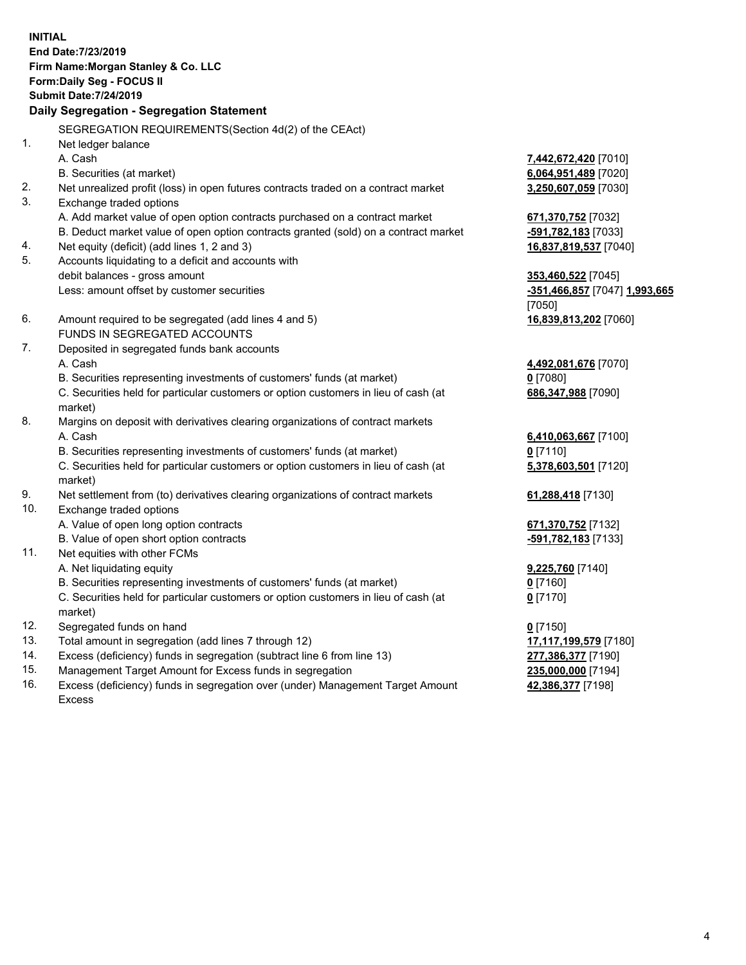**INITIAL End Date:7/23/2019 Firm Name:Morgan Stanley & Co. LLC Form:Daily Seg - FOCUS II Submit Date:7/24/2019 Daily Segregation - Segregation Statement** SEGREGATION REQUIREMENTS(Section 4d(2) of the CEAct) 1. Net ledger balance A. Cash **7,442,672,420** [7010] B. Securities (at market) **6,064,951,489** [7020] 2. Net unrealized profit (loss) in open futures contracts traded on a contract market **3,250,607,059** [7030] 3. Exchange traded options A. Add market value of open option contracts purchased on a contract market **671,370,752** [7032] B. Deduct market value of open option contracts granted (sold) on a contract market **-591,782,183** [7033] 4. Net equity (deficit) (add lines 1, 2 and 3) **16,837,819,537** [7040] 5. Accounts liquidating to a deficit and accounts with debit balances - gross amount **353,460,522** [7045] Less: amount offset by customer securities **-351,466,857** [7047] **1,993,665** [7050] 6. Amount required to be segregated (add lines 4 and 5) **16,839,813,202** [7060] FUNDS IN SEGREGATED ACCOUNTS 7. Deposited in segregated funds bank accounts A. Cash **4,492,081,676** [7070] B. Securities representing investments of customers' funds (at market) **0** [7080] C. Securities held for particular customers or option customers in lieu of cash (at market) **686,347,988** [7090] 8. Margins on deposit with derivatives clearing organizations of contract markets A. Cash **6,410,063,667** [7100] B. Securities representing investments of customers' funds (at market) **0** [7110] C. Securities held for particular customers or option customers in lieu of cash (at market) **5,378,603,501** [7120] 9. Net settlement from (to) derivatives clearing organizations of contract markets **61,288,418** [7130] 10. Exchange traded options A. Value of open long option contracts **671,370,752** [7132] B. Value of open short option contracts **-591,782,183** [7133] 11. Net equities with other FCMs A. Net liquidating equity **9,225,760** [7140] B. Securities representing investments of customers' funds (at market) **0** [7160] C. Securities held for particular customers or option customers in lieu of cash (at market) **0** [7170] 12. Segregated funds on hand **0** [7150] 13. Total amount in segregation (add lines 7 through 12) **17,117,199,579** [7180] 14. Excess (deficiency) funds in segregation (subtract line 6 from line 13) **277,386,377** [7190]

- 15. Management Target Amount for Excess funds in segregation **235,000,000** [7194]
- 16. Excess (deficiency) funds in segregation over (under) Management Target Amount Excess

**42,386,377** [7198]